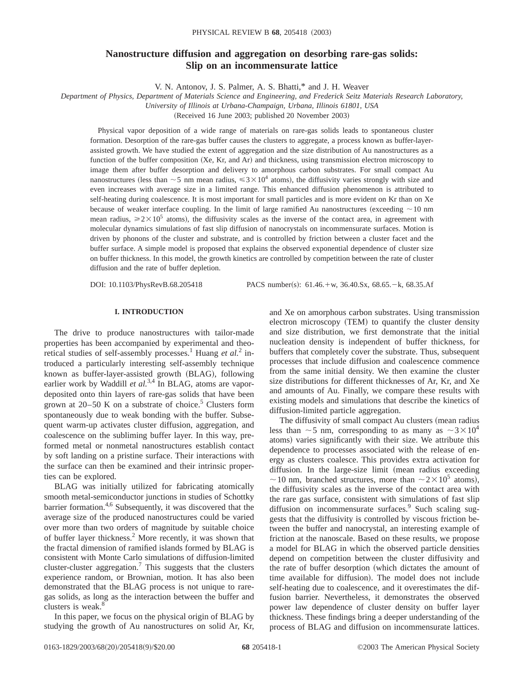# **Nanostructure diffusion and aggregation on desorbing rare-gas solids: Slip on an incommensurate lattice**

V. N. Antonov, J. S. Palmer, A. S. Bhatti,\* and J. H. Weaver

*Department of Physics, Department of Materials Science and Engineering, and Frederick Seitz Materials Research Laboratory, University of Illinois at Urbana-Champaign, Urbana, Illinois 61801, USA*

(Received 16 June 2003; published 20 November 2003)

Physical vapor deposition of a wide range of materials on rare-gas solids leads to spontaneous cluster formation. Desorption of the rare-gas buffer causes the clusters to aggregate, a process known as buffer-layerassisted growth. We have studied the extent of aggregation and the size distribution of Au nanostructures as a function of the buffer composition  $(Xe, Kr, and Ar)$  and thickness, using transmission electron microscopy to image them after buffer desorption and delivery to amorphous carbon substrates. For small compact Au nanostructures (less than  $\sim$  5 nm mean radius,  $\leq 3\times10^4$  atoms), the diffusivity varies strongly with size and even increases with average size in a limited range. This enhanced diffusion phenomenon is attributed to self-heating during coalescence. It is most important for small particles and is more evident on Kr than on Xe because of weaker interface coupling. In the limit of large ramified Au nanostructures (exceeding  $\sim$  10 nm mean radius,  $\ge 2 \times 10^5$  atoms), the diffusivity scales as the inverse of the contact area, in agreement with molecular dynamics simulations of fast slip diffusion of nanocrystals on incommensurate surfaces. Motion is driven by phonons of the cluster and substrate, and is controlled by friction between a cluster facet and the buffer surface. A simple model is proposed that explains the observed exponential dependence of cluster size on buffer thickness. In this model, the growth kinetics are controlled by competition between the rate of cluster diffusion and the rate of buffer depletion.

DOI: 10.1103/PhysRevB.68.205418 PACS number(s): 61.46.+w, 36.40.Sx, 68.65.-k, 68.35.Af

# **I. INTRODUCTION**

The drive to produce nanostructures with tailor-made properties has been accompanied by experimental and theoretical studies of self-assembly processes.<sup>1</sup> Huang *et al.*<sup>2</sup> introduced a particularly interesting self-assembly technique known as buffer-layer-assisted growth (BLAG), following earlier work by Waddill *et al.*<sup>3,4</sup> In BLAG, atoms are vapordeposited onto thin layers of rare-gas solids that have been grown at  $20-50$  K on a substrate of choice.<sup>5</sup> Clusters form spontaneously due to weak bonding with the buffer. Subsequent warm-up activates cluster diffusion, aggregation, and coalescence on the subliming buffer layer. In this way, preformed metal or nonmetal nanostructures establish contact by soft landing on a pristine surface. Their interactions with the surface can then be examined and their intrinsic properties can be explored.

BLAG was initially utilized for fabricating atomically smooth metal-semiconductor junctions in studies of Schottky barrier formation.<sup>4,6</sup> Subsequently, it was discovered that the average size of the produced nanostructures could be varied over more than two orders of magnitude by suitable choice of buffer layer thickness.2 More recently, it was shown that the fractal dimension of ramified islands formed by BLAG is consistent with Monte Carlo simulations of diffusion-limited cluster-cluster aggregation.<sup>7</sup> This suggests that the clusters experience random, or Brownian, motion. It has also been demonstrated that the BLAG process is not unique to raregas solids, as long as the interaction between the buffer and clusters is weak.<sup>8</sup>

In this paper, we focus on the physical origin of BLAG by studying the growth of Au nanostructures on solid Ar, Kr,

and Xe on amorphous carbon substrates. Using transmission electron microscopy (TEM) to quantify the cluster density and size distribution, we first demonstrate that the initial nucleation density is independent of buffer thickness, for buffers that completely cover the substrate. Thus, subsequent processes that include diffusion and coalescence commence from the same initial density. We then examine the cluster size distributions for different thicknesses of Ar, Kr, and Xe and amounts of Au. Finally, we compare these results with existing models and simulations that describe the kinetics of diffusion-limited particle aggregation.

The diffusivity of small compact Au clusters (mean radius less than  $\sim$  5 nm, corresponding to as many as  $\sim$  3 $\times10^4$ atoms) varies significantly with their size. We attribute this dependence to processes associated with the release of energy as clusters coalesce. This provides extra activation for diffusion. In the large-size limit (mean radius exceeding  $\sim$  10 nm, branched structures, more than  $\sim$  2 $\times$  10<sup>5</sup> atoms), the diffusivity scales as the inverse of the contact area with the rare gas surface, consistent with simulations of fast slip diffusion on incommensurate surfaces.<sup>9</sup> Such scaling suggests that the diffusivity is controlled by viscous friction between the buffer and nanocrystal, an interesting example of friction at the nanoscale. Based on these results, we propose a model for BLAG in which the observed particle densities depend on competition between the cluster diffusivity and the rate of buffer desorption (which dictates the amount of time available for diffusion). The model does not include self-heating due to coalescence, and it overestimates the diffusion barrier. Nevertheless, it demonstrates the observed power law dependence of cluster density on buffer layer thickness. These findings bring a deeper understanding of the process of BLAG and diffusion on incommensurate lattices.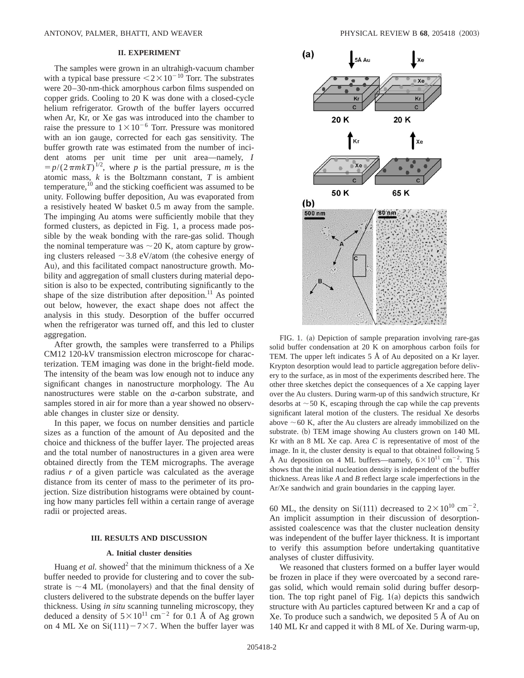### **II. EXPERIMENT**

The samples were grown in an ultrahigh-vacuum chamber with a typical base pressure  $\leq 2 \times 10^{-10}$  Torr. The substrates were 20–30-nm-thick amorphous carbon films suspended on copper grids. Cooling to 20 K was done with a closed-cycle helium refrigerator. Growth of the buffer layers occurred when Ar, Kr, or Xe gas was introduced into the chamber to raise the pressure to  $1\times10^{-6}$  Torr. Pressure was monitored with an ion gauge, corrected for each gas sensitivity. The buffer growth rate was estimated from the number of incident atoms per unit time per unit area—namely, *I*  $= p/(2\pi m kT)^{1/2}$ , where *p* is the partial pressure, *m* is the atomic mass, *k* is the Boltzmann constant, *T* is ambient temperature, $10$  and the sticking coefficient was assumed to be unity. Following buffer deposition, Au was evaporated from a resistively heated W basket 0.5 m away from the sample. The impinging Au atoms were sufficiently mobile that they formed clusters, as depicted in Fig. 1, a process made possible by the weak bonding with the rare-gas solid. Though the nominal temperature was  $\sim$  20 K, atom capture by growing clusters released  $\sim$  3.8 eV/atom (the cohesive energy of Au), and this facilitated compact nanostructure growth. Mobility and aggregation of small clusters during material deposition is also to be expected, contributing significantly to the shape of the size distribution after deposition.<sup>11</sup> As pointed out below, however, the exact shape does not affect the analysis in this study. Desorption of the buffer occurred when the refrigerator was turned off, and this led to cluster aggregation.

After growth, the samples were transferred to a Philips CM12 120-kV transmission electron microscope for characterization. TEM imaging was done in the bright-field mode. The intensity of the beam was low enough not to induce any significant changes in nanostructure morphology. The Au nanostructures were stable on the *a*-carbon substrate, and samples stored in air for more than a year showed no observable changes in cluster size or density.

In this paper, we focus on number densities and particle sizes as a function of the amount of Au deposited and the choice and thickness of the buffer layer. The projected areas and the total number of nanostructures in a given area were obtained directly from the TEM micrographs. The average radius *r* of a given particle was calculated as the average distance from its center of mass to the perimeter of its projection. Size distribution histograms were obtained by counting how many particles fell within a certain range of average radii or projected areas.

### **III. RESULTS AND DISCUSSION**

### **A. Initial cluster densities**

Huang *et al.* showed<sup>2</sup> that the minimum thickness of a Xe buffer needed to provide for clustering and to cover the substrate is  $\sim$  4 ML (monolayers) and that the final density of clusters delivered to the substrate depends on the buffer layer thickness. Using *in situ* scanning tunneling microscopy, they deduced a density of  $5 \times 10^{11}$  cm<sup>-2</sup> for 0.1 Å of Ag grown on 4 ML Xe on  $Si(111) - 7 \times 7$ . When the buffer layer was



FIG. 1. (a) Depiction of sample preparation involving rare-gas solid buffer condensation at 20 K on amorphous carbon foils for TEM. The upper left indicates 5 Å of Au deposited on a Kr layer. Krypton desorption would lead to particle aggregation before delivery to the surface, as in most of the experiments described here. The other three sketches depict the consequences of a Xe capping layer over the Au clusters. During warm-up of this sandwich structure, Kr desorbs at  $\sim$  50 K, escaping through the cap while the cap prevents significant lateral motion of the clusters. The residual Xe desorbs above  $\sim$  60 K, after the Au clusters are already immobilized on the substrate. (b) TEM image showing Au clusters grown on 140 ML Kr with an 8 ML Xe cap. Area *C* is representative of most of the image. In it, the cluster density is equal to that obtained following 5 Å Au deposition on 4 ML buffers—namely,  $6 \times 10^{11}$  cm<sup>-2</sup>. This shows that the initial nucleation density is independent of the buffer thickness. Areas like *A* and *B* reflect large scale imperfections in the Ar/Xe sandwich and grain boundaries in the capping layer.

60 ML, the density on Si(111) decreased to  $2 \times 10^{10}$  cm<sup>-2</sup>. An implicit assumption in their discussion of desorptionassisted coalescence was that the cluster nucleation density was independent of the buffer layer thickness. It is important to verify this assumption before undertaking quantitative analyses of cluster diffusivity.

We reasoned that clusters formed on a buffer layer would be frozen in place if they were overcoated by a second raregas solid, which would remain solid during buffer desorption. The top right panel of Fig.  $1(a)$  depicts this sandwich structure with Au particles captured between Kr and a cap of Xe. To produce such a sandwich, we deposited 5 Å of Au on 140 ML Kr and capped it with 8 ML of Xe. During warm-up,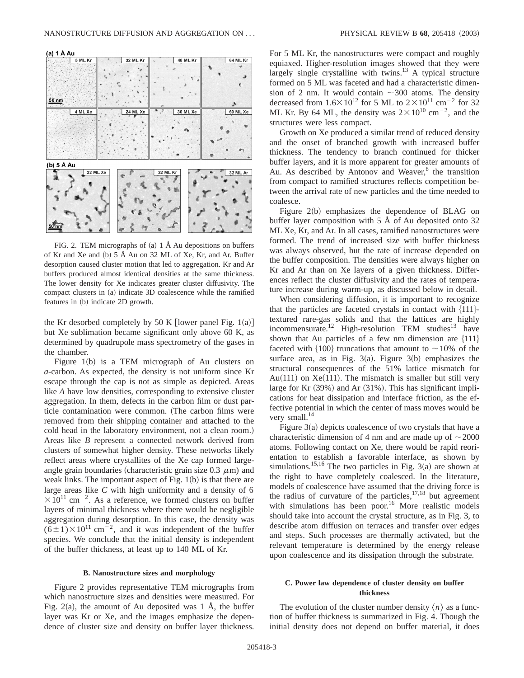(a) 1 Å Au



FIG. 2. TEM micrographs of (a)  $1 \text{ Å}$  Au depositions on buffers of Kr and Xe and (b)  $5 \text{ Å}$  Au on 32 ML of Xe, Kr, and Ar. Buffer desorption caused cluster motion that led to aggregation. Kr and Ar buffers produced almost identical densities at the same thickness. The lower density for Xe indicates greater cluster diffusivity. The compact clusters in (a) indicate 3D coalescence while the ramified features in (b) indicate 2D growth.

the Kr desorbed completely by 50 K [lower panel Fig. 1(a)] but Xe sublimation became significant only above 60 K, as determined by quadrupole mass spectrometry of the gases in the chamber.

Figure  $1(b)$  is a TEM micrograph of Au clusters on *a*-carbon. As expected, the density is not uniform since Kr escape through the cap is not as simple as depicted. Areas like *A* have low densities, corresponding to extensive cluster aggregation. In them, defects in the carbon film or dust particle contamination were common. (The carbon films were removed from their shipping container and attached to the cold head in the laboratory environment, not a clean room.) Areas like *B* represent a connected network derived from clusters of somewhat higher density. These networks likely reflect areas where crystallites of the Xe cap formed largeangle grain boundaries (characteristic grain size  $0.3 \mu m$ ) and weak links. The important aspect of Fig.  $1(b)$  is that there are large areas like *C* with high uniformity and a density of 6  $\times 10^{11}$  cm<sup>-2</sup>. As a reference, we formed clusters on buffer layers of minimal thickness where there would be negligible aggregation during desorption. In this case, the density was  $(6\pm1)\times10^{11}$  cm<sup>-2</sup>, and it was independent of the buffer species. We conclude that the initial density is independent of the buffer thickness, at least up to 140 ML of Kr.

### **B. Nanostructure sizes and morphology**

Figure 2 provides representative TEM micrographs from which nanostructure sizes and densities were measured. For Fig. 2(a), the amount of Au deposited was 1 Å, the buffer layer was Kr or Xe, and the images emphasize the dependence of cluster size and density on buffer layer thickness. For 5 ML Kr, the nanostructures were compact and roughly equiaxed. Higher-resolution images showed that they were largely single crystalline with twins. $^{13}$  A typical structure formed on 5 ML was faceted and had a characteristic dimension of 2 nm. It would contain  $\sim$ 300 atoms. The density decreased from  $1.6\times10^{12}$  for 5 ML to  $2\times10^{11}$  cm<sup>-2</sup> for 32 ML Kr. By 64 ML, the density was  $2 \times 10^{10}$  cm<sup>-2</sup>, and the structures were less compact.

Growth on Xe produced a similar trend of reduced density and the onset of branched growth with increased buffer thickness. The tendency to branch continued for thicker buffer layers, and it is more apparent for greater amounts of Au. As described by Antonov and Weaver, $8$  the transition from compact to ramified structures reflects competition between the arrival rate of new particles and the time needed to coalesce.

Figure  $2(b)$  emphasizes the dependence of BLAG on buffer layer composition with  $5 \text{ Å}$  of Au deposited onto 32 ML Xe, Kr, and Ar. In all cases, ramified nanostructures were formed. The trend of increased size with buffer thickness was always observed, but the rate of increase depended on the buffer composition. The densities were always higher on Kr and Ar than on Xe layers of a given thickness. Differences reflect the cluster diffusivity and the rates of temperature increase during warm-up, as discussed below in detail.

When considering diffusion, it is important to recognize that the particles are faceted crystals in contact with  $\{111\}$ textured rare-gas solids and that the lattices are highly incommensurate.<sup>12</sup> High-resolution TEM studies<sup>13</sup> have shown that Au particles of a few nm dimension are  $\{111\}$ faceted with  $\{100\}$  truncations that amount to  $\sim$  10% of the surface area, as in Fig.  $3(a)$ . Figure  $3(b)$  emphasizes the structural consequences of the 51% lattice mismatch for Au $(111)$  on Xe $(111)$ . The mismatch is smaller but still very large for Kr  $(39%)$  and Ar  $(31%)$ . This has significant implications for heat dissipation and interface friction, as the effective potential in which the center of mass moves would be very small.<sup>14</sup>

Figure  $3(a)$  depicts coalescence of two crystals that have a characteristic dimension of 4 nm and are made up of  $\sim$  2000 atoms. Following contact on Xe, there would be rapid reorientation to establish a favorable interface, as shown by simulations.<sup>15,16</sup> The two particles in Fig. 3(a) are shown at the right to have completely coalesced. In the literature, models of coalescence have assumed that the driving force is the radius of curvature of the particles,  $17,18$  but agreement with simulations has been poor.<sup>16</sup> More realistic models should take into account the crystal structure, as in Fig. 3, to describe atom diffusion on terraces and transfer over edges and steps. Such processes are thermally activated, but the relevant temperature is determined by the energy release upon coalescence and its dissipation through the substrate.

# **C. Power law dependence of cluster density on buffer thickness**

The evolution of the cluster number density  $\langle n \rangle$  as a function of buffer thickness is summarized in Fig. 4. Though the initial density does not depend on buffer material, it does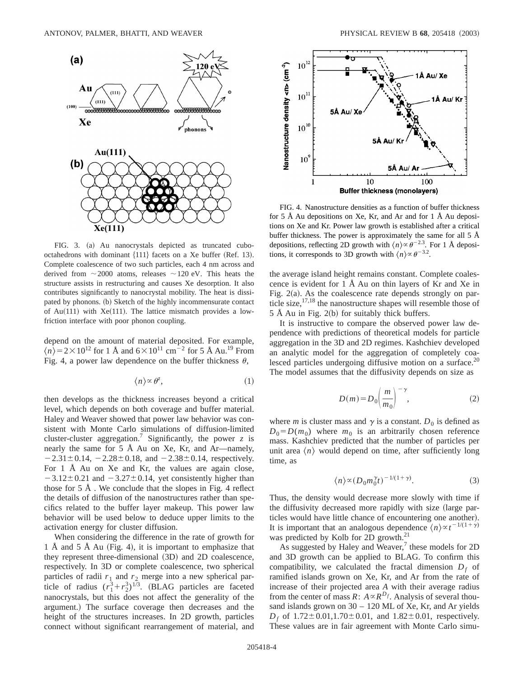

FIG. 3. (a) Au nanocrystals depicted as truncated cubooctahedrons with dominant  ${111}$  facets on a Xe buffer (Ref. 13). Complete coalescence of two such particles, each 4 nm across and derived from  $\sim$  2000 atoms, releases  $\sim$  120 eV. This heats the structure assists in restructuring and causes Xe desorption. It also contributes significantly to nanocrystal mobility. The heat is dissipated by phonons. (b) Sketch of the highly incommensurate contact of Au $(111)$  with Xe $(111)$ . The lattice mismatch provides a lowfriction interface with poor phonon coupling.

depend on the amount of material deposited. For example,  $\langle n \rangle$  = 2 × 10<sup>12</sup> for 1 Å and 6 × 10<sup>11</sup> cm<sup>-2</sup> for 5 Å Au.<sup>19</sup> From Fig. 4, a power law dependence on the buffer thickness  $\theta$ ,

$$
\langle n \rangle \propto \theta^z,\tag{1}
$$

then develops as the thickness increases beyond a critical level, which depends on both coverage and buffer material. Haley and Weaver showed that power law behavior was consistent with Monte Carlo simulations of diffusion-limited cluster-cluster aggregation.7 Significantly, the power *z* is nearly the same for  $5 \text{ Å}$  Au on Xe, Kr, and Ar—namely,  $-2.31 \pm 0.14$ ,  $-2.28 \pm 0.18$ , and  $-2.38 \pm 0.14$ , respectively. For 1 Å Au on Xe and Kr, the values are again close,  $-3.12\pm0.21$  and  $-3.27\pm0.14$ , yet consistently higher than those for 5 Å . We conclude that the slopes in Fig. 4 reflect the details of diffusion of the nanostructures rather than specifics related to the buffer layer makeup. This power law behavior will be used below to deduce upper limits to the activation energy for cluster diffusion.

When considering the difference in the rate of growth for 1 Å and 5 Å Au (Fig. 4), it is important to emphasize that they represent three-dimensional  $(3D)$  and  $2D$  coalescence, respectively. In 3D or complete coalescence, two spherical particles of radii  $r_1$  and  $r_2$  merge into a new spherical particle of radius  $(r_1^3 + r_2^3)^{1/3}$ . (BLAG particles are faceted nanocrystals, but this does not affect the generality of the argument.) The surface coverage then decreases and the height of the structures increases. In 2D growth, particles connect without significant rearrangement of material, and



FIG. 4. Nanostructure densities as a function of buffer thickness for 5 Å Au depositions on Xe, Kr, and Ar and for 1 Å Au depositions on Xe and Kr. Power law growth is established after a critical buffer thickness. The power is approximately the same for all  $5 \text{ Å}$ depositions, reflecting 2D growth with  $\langle n \rangle \propto \theta^{-2.3}$ . For 1 Å depositions, it corresponds to 3D growth with  $\langle n \rangle \propto \theta^{-3.2}$ .

the average island height remains constant. Complete coalescence is evident for 1 Å Au on thin layers of Kr and Xe in Fig.  $2(a)$ . As the coalescence rate depends strongly on particle size,  $17,18$  the nanostructure shapes will resemble those of  $5$  Å Au in Fig. 2(b) for suitably thick buffers.

It is instructive to compare the observed power law dependence with predictions of theoretical models for particle aggregation in the 3D and 2D regimes. Kashchiev developed an analytic model for the aggregation of completely coalesced particles undergoing diffusive motion on a surface.<sup>20</sup> The model assumes that the diffusivity depends on size as

$$
D(m) = D_0 \left(\frac{m}{m_0}\right)^{-\gamma},\tag{2}
$$

where *m* is cluster mass and  $\gamma$  is a constant.  $D_0$  is defined as  $D_0 = D(m_0)$  where  $m_0$  is an arbitrarily chosen reference mass. Kashchiev predicted that the number of particles per unit area  $\langle n \rangle$  would depend on time, after sufficiently long time, as

$$
\langle n \rangle \propto (D_0 m_0^{\gamma} t)^{-1/(1+\gamma)}.
$$
 (3)

Thus, the density would decrease more slowly with time if the diffusivity decreased more rapidly with size (large particles would have little chance of encountering one another). It is important that an analogous dependence  $\langle n \rangle \propto t^{-1/(1+\gamma)}$ was predicted by Kolb for 2D growth.<sup>21</sup>

As suggested by Haley and Weaver, $7$  these models for 2D and 3D growth can be applied to BLAG. To confirm this compatibility, we calculated the fractal dimension  $D_f$  of ramified islands grown on Xe, Kr, and Ar from the rate of increase of their projected area *A* with their average radius from the center of mass  $R: A \propto R^{D_f}$ . Analysis of several thousand islands grown on 30 – 120 ML of Xe, Kr, and Ar yields  $D_f$  of  $1.72 \pm 0.01, 1.70 \pm 0.01$ , and  $1.82 \pm 0.01$ , respectively. These values are in fair agreement with Monte Carlo simu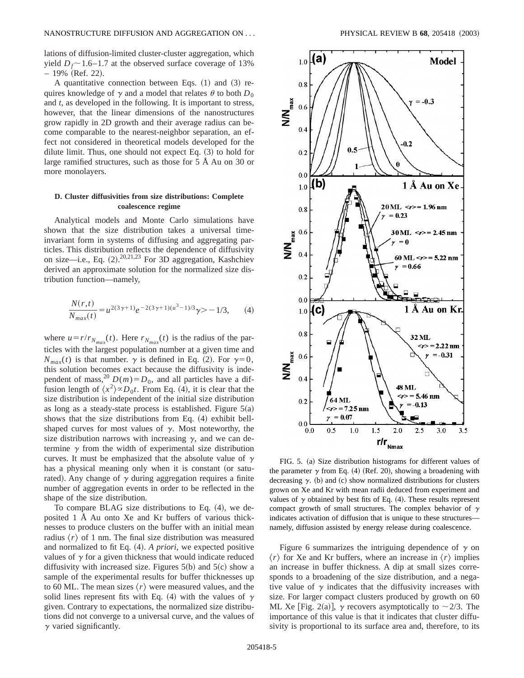lations of diffusion-limited cluster-cluster aggregation, which yield  $D_f \sim 1.6$ –1.7 at the observed surface coverage of 13%  $-19\%$  (Ref. 22).

A quantitative connection between Eqs.  $(1)$  and  $(3)$  requires knowledge of  $\gamma$  and a model that relates  $\theta$  to both  $D_0$ and *t*, as developed in the following. It is important to stress, however, that the linear dimensions of the nanostructures grow rapidly in 2D growth and their average radius can become comparable to the nearest-neighbor separation, an effect not considered in theoretical models developed for the dilute limit. Thus, one should not expect Eq.  $(3)$  to hold for large ramified structures, such as those for 5 Å Au on 30 or more monolayers.

# **D. Cluster diffusivities from size distributions: Complete coalescence regime**

Analytical models and Monte Carlo simulations have shown that the size distribution takes a universal timeinvariant form in systems of diffusing and aggregating particles. This distribution reflects the dependence of diffusivity on size—i.e., Eq.  $(2)$ .  $^{20,21,23}$  For 3D aggregation, Kashchiev derived an approximate solution for the normalized size distribution function—namely,

$$
\frac{N(r,t)}{N_{max}(t)} = u^{2(3\gamma+1)}e^{-2(3\gamma+1)(u^3-1)/3}\gamma > -1/3,
$$
 (4)

where  $u = r/r_{N_{max}}(t)$ . Here  $r_{N_{max}}(t)$  is the radius of the particles with the largest population number at a given time and  $N_{max}(t)$  is that number.  $\gamma$  is defined in Eq. (2). For  $\gamma=0$ , this solution becomes exact because the diffusivity is independent of mass,<sup>20</sup>  $D(m) = D_0$ , and all particles have a diffusion length of  $\langle x^2 \rangle \propto D_0 t$ . From Eq. (4), it is clear that the size distribution is independent of the initial size distribution as long as a steady-state process is established. Figure  $5(a)$ shows that the size distributions from Eq.  $(4)$  exhibit bellshaped curves for most values of  $\gamma$ . Most noteworthy, the size distribution narrows with increasing  $\gamma$ , and we can determine  $\gamma$  from the width of experimental size distribution curves. It must be emphasized that the absolute value of  $\gamma$ has a physical meaning only when it is constant (or saturated). Any change of  $\gamma$  during aggregation requires a finite number of aggregation events in order to be reflected in the shape of the size distribution.

To compare BLAG size distributions to Eq.  $(4)$ , we deposited 1 Å Au onto Xe and Kr buffers of various thicknesses to produce clusters on the buffer with an initial mean radius  $\langle r \rangle$  of 1 nm. The final size distribution was measured and normalized to fit Eq. (4). *A priori*, we expected positive values of  $\gamma$  for a given thickness that would indicate reduced diffusivity with increased size. Figures  $5(b)$  and  $5(c)$  show a sample of the experimental results for buffer thicknesses up to 60 ML. The mean sizes  $\langle r \rangle$  were measured values, and the solid lines represent fits with Eq. (4) with the values of  $\gamma$ given. Contrary to expectations, the normalized size distributions did not converge to a universal curve, and the values of  $\gamma$  varied significantly.



FIG. 5. (a) Size distribution histograms for different values of the parameter  $\gamma$  from Eq. (4) (Ref. 20), showing a broadening with decreasing  $\gamma$ . (b) and (c) show normalized distributions for clusters grown on Xe and Kr with mean radii deduced from experiment and values of  $\gamma$  obtained by best fits of Eq. (4). These results represent compact growth of small structures. The complex behavior of  $\gamma$ indicates activation of diffusion that is unique to these structures namely, diffusion assisted by energy release during coalescence.

Figure 6 summarizes the intriguing dependence of  $\gamma$  on  $\langle r \rangle$  for Xe and Kr buffers, where an increase in  $\langle r \rangle$  implies an increase in buffer thickness. A dip at small sizes corresponds to a broadening of the size distribution, and a negative value of  $\gamma$  indicates that the diffusivity increases with size. For larger compact clusters produced by growth on 60 ML Xe [Fig. 2(a)],  $\gamma$  recovers asymptotically to  $\sim$  2/3. The importance of this value is that it indicates that cluster diffusivity is proportional to its surface area and, therefore, to its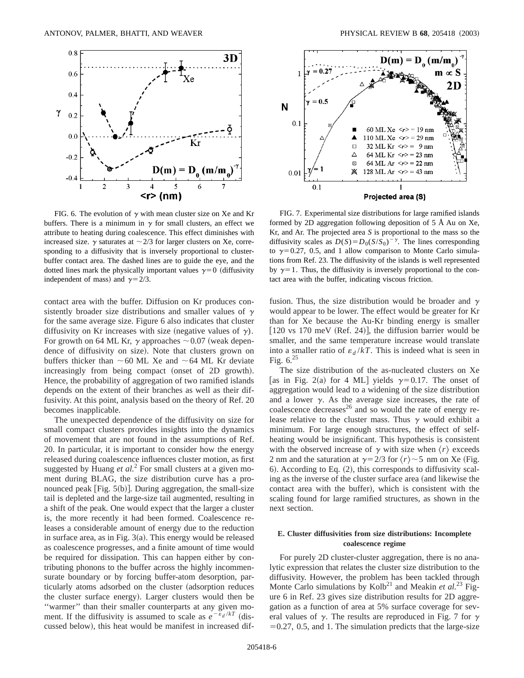

FIG. 6. The evolution of  $\gamma$  with mean cluster size on Xe and Kr buffers. There is a minimum in  $\gamma$  for small clusters, an effect we attribute to heating during coalescence. This effect diminishes with increased size.  $\gamma$  saturates at  $\sim$  2/3 for larger clusters on Xe, corresponding to a diffusivity that is inversely proportional to clusterbuffer contact area. The dashed lines are to guide the eye, and the dotted lines mark the physically important values  $\gamma=0$  (diffusivity independent of mass) and  $\gamma = 2/3$ .

contact area with the buffer. Diffusion on Kr produces consistently broader size distributions and smaller values of  $\gamma$ for the same average size. Figure 6 also indicates that cluster diffusivity on Kr increases with size (negative values of  $\gamma$ ). For growth on 64 ML Kr,  $\gamma$  approaches  $\sim 0.07$  (weak dependence of diffusivity on size). Note that clusters grown on buffers thicker than  $\sim 60$  ML Xe and  $\sim 64$  ML Kr deviate increasingly from being compact (onset of 2D growth). Hence, the probability of aggregation of two ramified islands depends on the extent of their branches as well as their diffusivity. At this point, analysis based on the theory of Ref. 20 becomes inapplicable.

The unexpected dependence of the diffusivity on size for small compact clusters provides insights into the dynamics of movement that are not found in the assumptions of Ref. 20. In particular, it is important to consider how the energy released during coalescence influences cluster motion, as first suggested by Huang *et al.*<sup>2</sup> For small clusters at a given moment during BLAG, the size distribution curve has a pronounced peak  $[Fig. 5(b)]$ . During aggregation, the small-size tail is depleted and the large-size tail augmented, resulting in a shift of the peak. One would expect that the larger a cluster is, the more recently it had been formed. Coalescence releases a considerable amount of energy due to the reduction in surface area, as in Fig.  $3(a)$ . This energy would be released as coalescence progresses, and a finite amount of time would be required for dissipation. This can happen either by contributing phonons to the buffer across the highly incommensurate boundary or by forcing buffer-atom desorption, particularly atoms adsorbed on the cluster (adsorption reduces the cluster surface energy). Larger clusters would then be ''warmer'' than their smaller counterparts at any given moment. If the diffusivity is assumed to scale as  $e^{-\epsilon_d/kT}$  (discussed below), this heat would be manifest in increased dif-



FIG. 7. Experimental size distributions for large ramified islands formed by 2D aggregation following deposition of 5 Å Au on Xe, Kr, and Ar. The projected area *S* is proportional to the mass so the diffusivity scales as  $D(S) = D_0(S/S_0)^{-\gamma}$ . The lines corresponding to  $\gamma=0.27$ , 0.5, and 1 allow comparison to Monte Carlo simulations from Ref. 23. The diffusivity of the islands is well represented by  $\gamma=1$ . Thus, the diffusivity is inversely proportional to the contact area with the buffer, indicating viscous friction.

fusion. Thus, the size distribution would be broader and  $\gamma$ would appear to be lower. The effect would be greater for Kr than for Xe because the Au-Kr binding energy is smaller  $[120 \text{ vs } 170 \text{ meV (Ref. 24)}]$ , the diffusion barrier would be smaller, and the same temperature increase would translate into a smaller ratio of  $\varepsilon_d / kT$ . This is indeed what is seen in Fig.  $6.^{25}$ 

The size distribution of the as-nucleated clusters on Xe [as in Fig. 2(a) for 4 ML] yields  $\gamma=0.17$ . The onset of aggregation would lead to a widening of the size distribution and a lower  $\gamma$ . As the average size increases, the rate of coalescence decreases $^{26}$  and so would the rate of energy release relative to the cluster mass. Thus  $\gamma$  would exhibit a minimum. For large enough structures, the effect of selfheating would be insignificant. This hypothesis is consistent with the observed increase of  $\gamma$  with size when  $\langle r \rangle$  exceeds 2 nm and the saturation at  $\gamma$ =2/3 for  $\langle r \rangle$   $\sim$  5 nm on Xe (Fig. 6). According to Eq.  $(2)$ , this corresponds to diffusivity scaling as the inverse of the cluster surface area (and likewise the contact area with the buffer), which is consistent with the scaling found for large ramified structures, as shown in the next section.

## **E. Cluster diffusivities from size distributions: Incomplete coalescence regime**

For purely 2D cluster-cluster aggregation, there is no analytic expression that relates the cluster size distribution to the diffusivity. However, the problem has been tackled through Monte Carlo simulations by Kolb<sup>21</sup> and Meakin *et al.*<sup>23</sup> Figure 6 in Ref. 23 gives size distribution results for 2D aggregation as a function of area at 5% surface coverage for several values of  $\gamma$ . The results are reproduced in Fig. 7 for  $\gamma$  $=0.27, 0.5,$  and 1. The simulation predicts that the large-size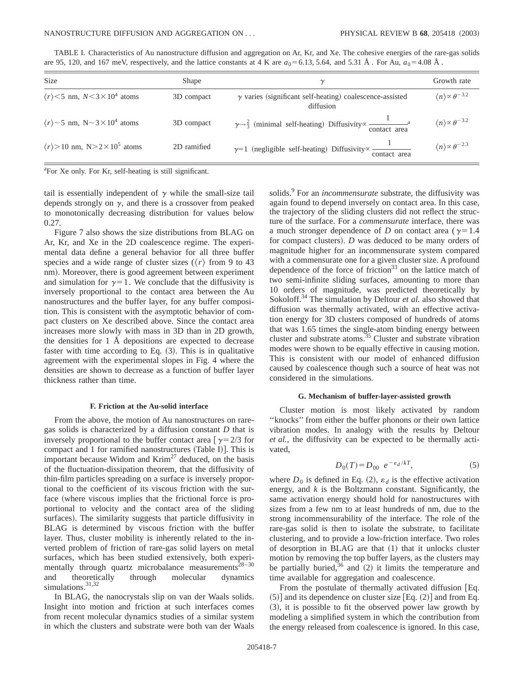| TABLE I. Characteristics of Au nanostructure diffusion and aggregation on Ar, Kr, and Xe. The cohesive energies of the rare-gas solids |  |  |  |  |  |  |  |  |  |
|----------------------------------------------------------------------------------------------------------------------------------------|--|--|--|--|--|--|--|--|--|
| are 95, 120, and 167 meV, respectively, and the lattice constants at 4 K are $a_0 = 6.13$ , 5.64, and 5.31 Å. For Au, $a_0 = 4.08$ Å.  |  |  |  |  |  |  |  |  |  |

| <b>Size</b>                                                 | Shape       | $\gamma$                                                                                                                 | Growth rate                               |
|-------------------------------------------------------------|-------------|--------------------------------------------------------------------------------------------------------------------------|-------------------------------------------|
| $\langle r \rangle$ < 5 nm, $N$ < 3 × 10 <sup>4</sup> atoms | 3D compact  | $\gamma$ varies (significant self-heating) coalescence-assisted<br>diffusion                                             | $\langle n \rangle \propto \theta^{-3.2}$ |
| $\langle r \rangle$ ~ 5 nm, N ~ 3 × 10 <sup>4</sup> atoms   | 3D compact  | $\gamma \rightarrow \frac{2}{3}$ (minimal self-heating) Diffusivity $\propto \frac{1}{\text{contact area}}$ <sup>a</sup> | $\langle n \rangle \propto \theta^{-3.2}$ |
| $\langle r \rangle > 10$ nm, N $> 2 \times 10^5$ atoms      | 2D ramified | $\gamma=1$ (negligible self-heating) Diffusivity $\propto \frac{1}{2}$<br>contact area                                   | $\langle n \rangle \propto \theta^{-2.3}$ |

<sup>a</sup>For Xe only. For Kr, self-heating is still significant.

tail is essentially independent of  $\gamma$  while the small-size tail depends strongly on  $\gamma$ , and there is a crossover from peaked to monotonically decreasing distribution for values below 0.27.

Figure 7 also shows the size distributions from BLAG on Ar, Kr, and Xe in the 2D coalescence regime. The experimental data define a general behavior for all three buffer species and a wide range of cluster sizes ( $\langle r \rangle$  from 9 to 43 nm). Moreover, there is good agreement between experiment and simulation for  $\gamma=1$ . We conclude that the diffusivity is inversely proportional to the contact area between the Au nanostructures and the buffer layer, for any buffer composition. This is consistent with the asymptotic behavior of compact clusters on Xe described above. Since the contact area increases more slowly with mass in 3D than in 2D growth, the densities for 1 Å depositions are expected to decrease faster with time according to Eq.  $(3)$ . This is in qualitative agreement with the experimental slopes in Fig. 4 where the densities are shown to decrease as a function of buffer layer thickness rather than time.

### **F. Friction at the Au-solid interface**

From the above, the motion of Au nanostructures on raregas solids is characterized by a diffusion constant *D* that is inversely proportional to the buffer contact area  $\lceil \gamma = 2/3 \rceil$  for compact and 1 for ramified nanostructures (Table I). This is important because Widom and  $Kim<sup>27</sup>$  deduced, on the basis of the fluctuation-dissipation theorem, that the diffusivity of thin-film particles spreading on a surface is inversely proportional to the coefficient of its viscous friction with the surface (where viscous implies that the frictional force is proportional to velocity and the contact area of the sliding surfaces). The similarity suggests that particle diffusivity in BLAG is determined by viscous friction with the buffer layer. Thus, cluster mobility is inherently related to the inverted problem of friction of rare-gas solid layers on metal surfaces, which has been studied extensively, both experimentally through quartz microbalance measurements $28-30$ and theoretically through molecular dynamics simulations.<sup>31,32</sup>

In BLAG, the nanocrystals slip on van der Waals solids. Insight into motion and friction at such interfaces comes from recent molecular dynamics studies of a similar system in which the clusters and substrate were both van der Waals solids.<sup>9</sup> For an *incommensurate* substrate, the diffusivity was again found to depend inversely on contact area. In this case, the trajectory of the sliding clusters did not reflect the structure of the surface. For a *commensurate* interface, there was a much stronger dependence of *D* on contact area ( $\gamma=1.4$ ) for compact clusters). *D* was deduced to be many orders of magnitude higher for an incommensurate system compared with a commensurate one for a given cluster size. A profound dependence of the force of friction $33$  on the lattice match of two semi-infinite sliding surfaces, amounting to more than 10 orders of magnitude, was predicted theoretically by Sokoloff.<sup>34</sup> The simulation by Deltour *et al.* also showed that diffusion was thermally activated, with an effective activation energy for 3D clusters composed of hundreds of atoms that was 1.65 times the single-atom binding energy between cluster and substrate atoms.<sup>35</sup> Cluster and substrate vibration modes were shown to be equally effective in causing motion. This is consistent with our model of enhanced diffusion caused by coalescence though such a source of heat was not considered in the simulations.

### **G. Mechanism of buffer-layer-assisted growth**

Cluster motion is most likely activated by random ''knocks'' from either the buffer phonons or their own lattice vibration modes. In analogy with the results by Deltour *et al.*, the diffusivity can be expected to be thermally activated,

$$
D_0(T) = D_{00} e^{-\varepsilon_d/kT}, \tag{5}
$$

where  $D_0$  is defined in Eq. (2),  $\varepsilon_d$  is the effective activation energy, and  $k$  is the Boltzmann constant. Significantly, the same activation energy should hold for nanostructures with sizes from a few nm to at least hundreds of nm, due to the strong incommensurability of the interface. The role of the rare-gas solid is then to isolate the substrate, to facilitate clustering, and to provide a low-friction interface. Two roles of desorption in BLAG are that  $(1)$  that it unlocks cluster motion by removing the top buffer layers, as the clusters may be partially buried, $36$  and (2) it limits the temperature and time available for aggregation and coalescence.

From the postulate of thermally activated diffusion [Eq.  $(5)$ ] and its dependence on cluster size [Eq.  $(2)$ ] and from Eq.  $(3)$ , it is possible to fit the observed power law growth by modeling a simplified system in which the contribution from the energy released from coalescence is ignored. In this case,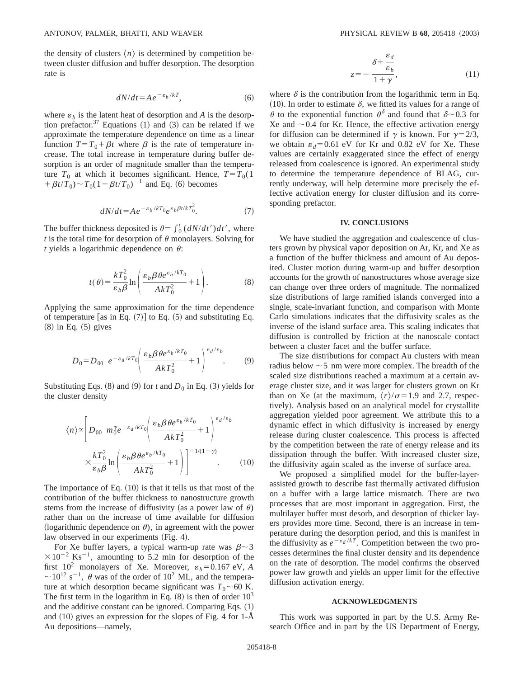the density of clusters  $\langle n \rangle$  is determined by competition between cluster diffusion and buffer desorption. The desorption rate is

$$
dN/dt = Ae^{-\varepsilon_b/kT},\tag{6}
$$

where  $\varepsilon_b$  is the latent heat of desorption and *A* is the desorption prefactor.<sup>37</sup> Equations  $(1)$  and  $(3)$  can be related if we approximate the temperature dependence on time as a linear function  $T=T_0+\beta t$  where  $\beta$  is the rate of temperature increase. The total increase in temperature during buffer desorption is an order of magnitude smaller than the temperature  $T_0$  at which it becomes significant. Hence,  $T = T_0(1)$  $+ \beta t/\dot{T}_0$ ) ~  $T_0(1-\beta t/T_0)^{-1}$  and Eq. (6) becomes

$$
dN/dt = Ae^{-\varepsilon_b/kT_0}e^{\varepsilon_b\beta t/kT_0^2}.
$$
 (7)

The buffer thickness deposited is  $\theta = \int_0^t (dN/dt')dt'$ , where *t* is the total time for desorption of  $\theta$  monolayers. Solving for *t* yields a logarithmic dependence on  $\theta$ :

$$
t(\theta) = \frac{kT_0^2}{\varepsilon_b \beta} \ln \left( \frac{\varepsilon_b \beta \theta e^{\varepsilon_b / kT_0}}{AkT_0^2} + 1 \right). \tag{8}
$$

Applying the same approximation for the time dependence of temperature [as in Eq.  $(7)$ ] to Eq.  $(5)$  and substituting Eq.  $(8)$  in Eq.  $(5)$  gives

$$
D_0 = D_{00} e^{-\varepsilon_d / kT_0} \left( \frac{\varepsilon_b \beta \theta e^{\varepsilon_b / kT_0}}{AkT_0^2} + 1 \right)^{\varepsilon_d / \varepsilon_b}.
$$
 (9)

Substituting Eqs. (8) and (9) for *t* and  $D_0$  in Eq. (3) yields for the cluster density

$$
\langle n \rangle \propto \left[ D_{00} \ m_0^{\gamma} e^{-\epsilon_d / kT_0} \left( \frac{\epsilon_b \beta \theta e^{\epsilon_b / kT_0}}{AkT_0^2} + 1 \right)^{\epsilon_d / \epsilon_b} \right. \\
\times \frac{kT_0^2}{\epsilon_b \beta} \ln \left( \frac{\epsilon_b \beta \theta e^{\epsilon_b / kT_0}}{AkT_0^2} + 1 \right) \Big]^{-1/(1+\gamma)} . \tag{10}
$$

The importance of Eq.  $(10)$  is that it tells us that most of the contribution of the buffer thickness to nanostructure growth stems from the increase of diffusivity (as a power law of  $\theta$ ) rather than on the increase of time available for diffusion (logarithmic dependence on  $\theta$ ), in agreement with the power law observed in our experiments (Fig. 4).

For Xe buffer layers, a typical warm-up rate was  $\beta$  ~3  $\times 10^{-2}$  Ks<sup>-1</sup>, amounting to 5.2 min for desorption of the first  $10^2$  monolayers of Xe. Moreover,  $\varepsilon_b = 0.167$  eV, *A*  $\sim$  10<sup>12</sup> s<sup>-1</sup>,  $\theta$  was of the order of 10<sup>2</sup> ML, and the temperature at which desorption became significant was  $T_0 \sim 60$  K. The first term in the logarithm in Eq.  $(8)$  is then of order  $10<sup>3</sup>$ and the additive constant can be ignored. Comparing Eqs.  $(1)$ and  $(10)$  gives an expression for the slopes of Fig. 4 for 1- $\AA$ Au depositions—namely,

$$
z = -\frac{\delta + \frac{\varepsilon_d}{\varepsilon_b}}{1 + \gamma},\tag{11}
$$

where  $\delta$  is the contribution from the logarithmic term in Eq. (10). In order to estimate  $\delta$ , we fitted its values for a range of  $\theta$  to the exponential function  $\theta^{\delta}$  and found that  $\delta$  ~ 0.3 for Xe and  $\sim 0.4$  for Kr. Hence, the effective activation energy for diffusion can be determined if  $\gamma$  is known. For  $\gamma = 2/3$ , we obtain  $\varepsilon_d = 0.61$  eV for Kr and 0.82 eV for Xe. These values are certainly exaggerated since the effect of energy released from coalescence is ignored. An experimental study to determine the temperature dependence of BLAG, currently underway, will help determine more precisely the effective activation energy for cluster diffusion and its corresponding prefactor.

### **IV. CONCLUSIONS**

We have studied the aggregation and coalescence of clusters grown by physical vapor deposition on Ar, Kr, and Xe as a function of the buffer thickness and amount of Au deposited. Cluster motion during warm-up and buffer desorption accounts for the growth of nanostructures whose average size can change over three orders of magnitude. The normalized size distributions of large ramified islands converged into a single, scale-invariant function, and comparison with Monte Carlo simulations indicates that the diffusivity scales as the inverse of the island surface area. This scaling indicates that diffusion is controlled by friction at the nanoscale contact between a cluster facet and the buffer surface.

The size distributions for compact Au clusters with mean radius below  $\sim$  5 nm were more complex. The breadth of the scaled size distributions reached a maximum at a certain average cluster size, and it was larger for clusters grown on Kr than on Xe (at the maximum,  $\langle r \rangle / \sigma = 1.9$  and 2.7, respectively). Analysis based on an analytical model for crystallite aggregation yielded poor agreement. We attribute this to a dynamic effect in which diffusivity is increased by energy release during cluster coalescence. This process is affected by the competition between the rate of energy release and its dissipation through the buffer. With increased cluster size, the diffusivity again scaled as the inverse of surface area.

We proposed a simplified model for the buffer-layerassisted growth to describe fast thermally activated diffusion on a buffer with a large lattice mismatch. There are two processes that are most important in aggregation. First, the multilayer buffer must desorb, and desorption of thicker layers provides more time. Second, there is an increase in temperature during the desorption period, and this is manifest in the diffusivity as  $e^{-\varepsilon_d / kT}$ . Competition between the two processes determines the final cluster density and its dependence on the rate of desorption. The model confirms the observed power law growth and yields an upper limit for the effective diffusion activation energy.

#### **ACKNOWLEDGMENTS**

This work was supported in part by the U.S. Army Research Office and in part by the US Department of Energy,